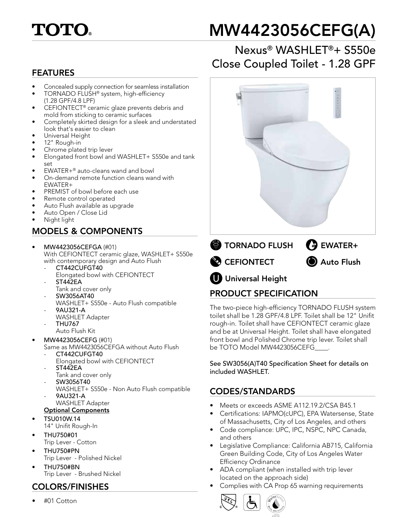

# MW4423056CEFG(A)

# Nexus® WASHLET®+ S550e Close Coupled Toilet - 1.28 GPF FEATURES

- Concealed supply connection for seamless installation
- TORNADO FLUSH® system, high-efficiency (1.28 GPF/4.8 LPF)
- CEFIONTECT® ceramic glaze prevents debris and mold from sticking to ceramic surfaces
- Completely skirted design for a sleek and understated look that's easier to clean
- Universal Height
- 12" Rough-in
- Chrome plated trip lever
- Elongated front bowl and WASHLET+ S550e and tank set
- EWATER+® auto-cleans wand and bowl
- On-demand remote function cleans wand with EWATER+
- PREMIST of bowl before each use
- Remote control operated
- Auto Flush available as upgrade
- Auto Open / Close Lid
- Night light

#### MODELS & COMPONENTS

- MW4423056CEFGA (#01) With CEFIONTECT ceramic glaze, WASHLET+ S550e with contemporary design and Auto Flush
	- CT442CUFGT40
	- Elongated bowl with CEFIONTECT **ST442EA**
	- Tank and cover only
	- SW3056AT40
	- WASHLET+ S550e Auto Flush compatible - 9AU321-A
	- WASHLET Adapter
	- THU767
	- Auto Flush Kit
- MW4423056CEFG (#01)
- Same as MW4423056CEFGA without Auto Flush
- CT442CUFGT40
- Elongated bowl with CEFIONTECT
- ST442EA
- Tank and cover only
- SW3056T40
- WASHLET+ S550e Non Auto Flush compatible - 9AU321-A
- WASHLET Adapter
- Optional Components
- TSU010W.14 14" Unifit Rough-In
- THU750#01
- Trip Lever Cotton • THU750#PN
- Trip Lever Polished Nickel
- THU750#BN Trip Lever - Brushed Nickel

### COLORS/FINISHES

• #01 Cotton



#### PRODUCT SPECIFICATION

The two-piece high-efficiency TORNADO FLUSH system toilet shall be 1.28 GPF/4.8 LPF. Toilet shall be 12" Unifit rough-in. Toilet shall have CEFIONTECT ceramic glaze and be at Universal Height. Toilet shall have elongated front bowl and Polished Chrome trip lever. Toilet shall be TOTO Model MW4423056CEFG\_\_\_\_.

See SW3056(A)T40 Specification Sheet for details on included WASHLET.

#### CODES/STANDARDS

- Meets or exceeds ASME A112.19.2/CSA B45.1
- Certifications: IAPMO(cUPC), EPA Watersense, State of Massachusetts, City of Los Angeles, and others
- Code compliance: UPC, IPC, NSPC, NPC Canada, and others
- Legislative Compliance: California AB715, California Green Building Code, City of Los Angeles Water Efficiency Ordinance
- ADA compliant (when installed with trip lever located on the approach side)
- Complies with CA Prop 65 warning requirements